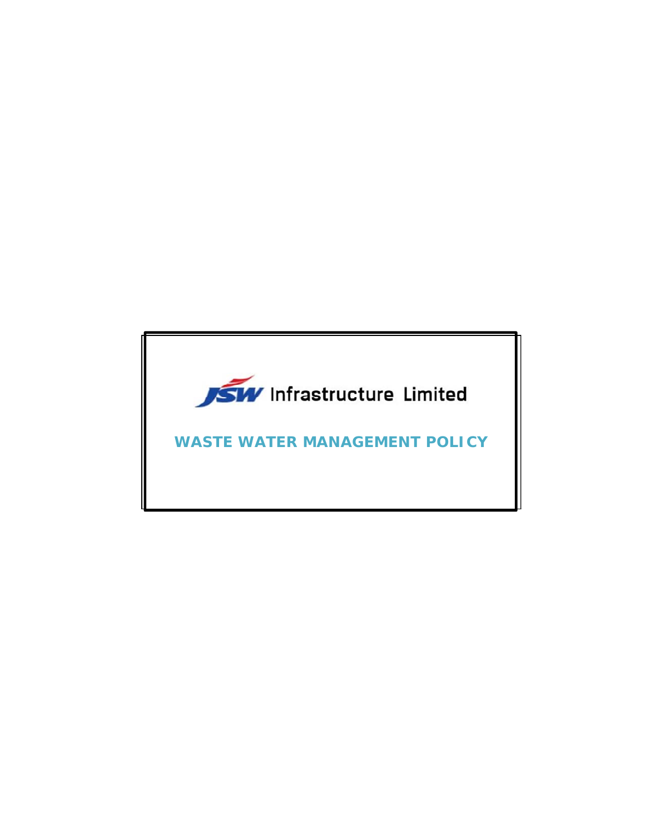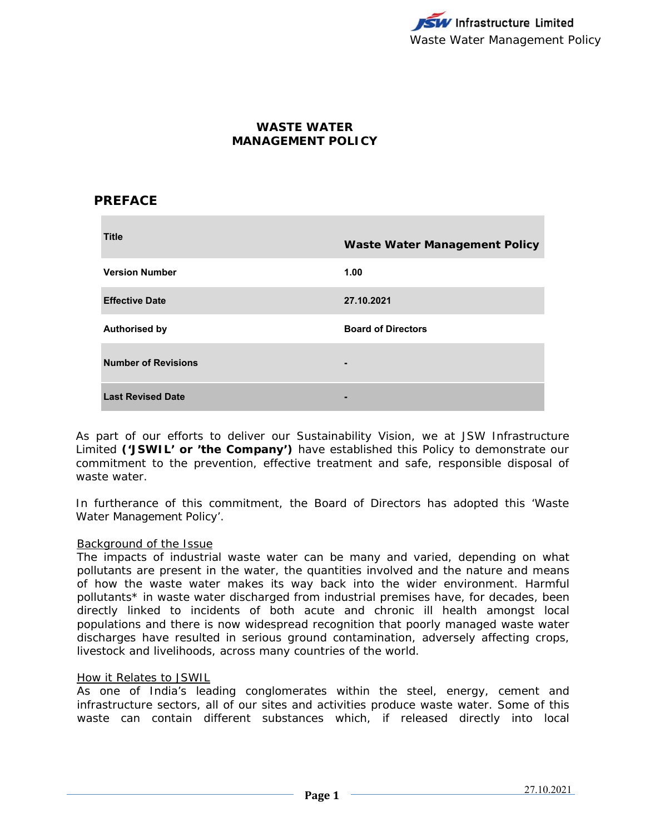# **WASTE WATER MANAGEMENT POLICY**

# **PREFACE**

| <b>Title</b>               | <b>Waste Water Management Policy</b> |
|----------------------------|--------------------------------------|
| <b>Version Number</b>      | 1.00                                 |
| <b>Effective Date</b>      | 27.10.2021                           |
| <b>Authorised by</b>       | <b>Board of Directors</b>            |
| <b>Number of Revisions</b> | $\blacksquare$                       |
| <b>Last Revised Date</b>   |                                      |

As part of our efforts to deliver our Sustainability Vision, we at JSW Infrastructure Limited **('JSWIL' or 'the Company')** have established this Policy to demonstrate our commitment to the prevention, effective treatment and safe, responsible disposal of waste water.

In furtherance of this commitment, the Board of Directors has adopted this 'Waste Water Management Policy'.

#### Background of the Issue

The impacts of industrial waste water can be many and varied, depending on what pollutants are present in the water, the quantities involved and the nature and means of how the waste water makes its way back into the wider environment. Harmful pollutants\* in waste water discharged from industrial premises have, for decades, been directly linked to incidents of both acute and chronic ill health amongst local populations and there is now widespread recognition that poorly managed waste water discharges have resulted in serious ground contamination, adversely affecting crops, livestock and livelihoods, across many countries of the world.

#### How it Relates to JSWIL

As one of India's leading conglomerates within the steel, energy, cement and infrastructure sectors, all of our sites and activities produce waste water. Some of this waste can contain different substances which, if released directly into local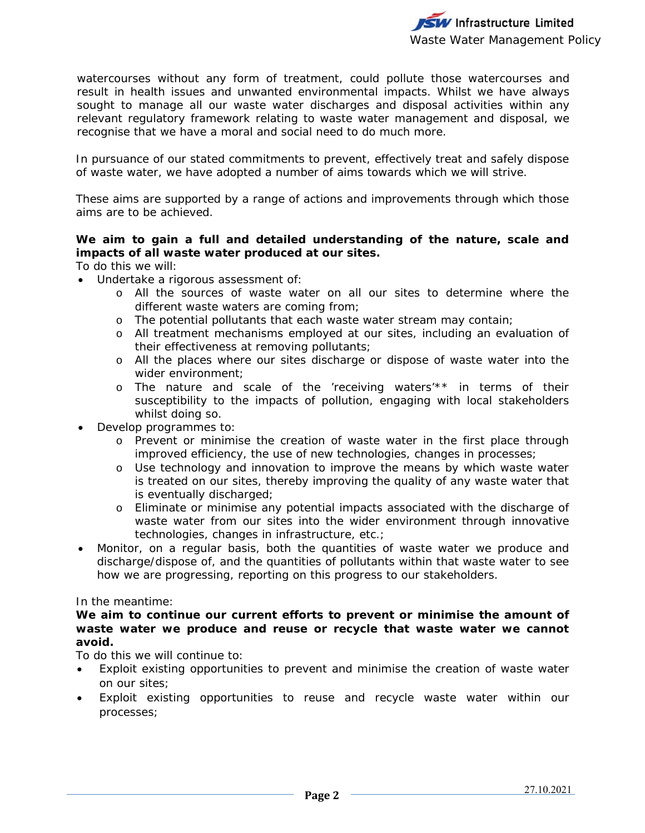watercourses without any form of treatment, could pollute those watercourses and result in health issues and unwanted environmental impacts. Whilst we have always sought to manage all our waste water discharges and disposal activities within any relevant regulatory framework relating to waste water management and disposal, we recognise that we have a moral and social need to do much more.

In pursuance of our stated commitments to prevent, effectively treat and safely dispose of waste water, we have adopted a number of aims towards which we will strive.

These aims are supported by a range of actions and improvements through which those aims are to be achieved.

## **We aim to gain a full and detailed understanding of the nature, scale and impacts of all waste water produced at our sites.**

To do this we will:

- Undertake a rigorous assessment of:
	- o All the sources of waste water on all our sites to determine where the different waste waters are coming from;
	- o The potential pollutants that each waste water stream may contain;
	- o All treatment mechanisms employed at our sites, including an evaluation of their effectiveness at removing pollutants;
	- o All the places where our sites discharge or dispose of waste water into the wider environment;
	- o The nature and scale of the 'receiving waters'\*\* in terms of their susceptibility to the impacts of pollution, engaging with local stakeholders whilst doing so.
- Develop programmes to:
	- o Prevent or minimise the creation of waste water in the first place through improved efficiency, the use of new technologies, changes in processes;
	- o Use technology and innovation to improve the means by which waste water is treated on our sites, thereby improving the quality of any waste water that is eventually discharged;
	- o Eliminate or minimise any potential impacts associated with the discharge of waste water from our sites into the wider environment through innovative technologies, changes in infrastructure, etc.;
- Monitor, on a regular basis, both the quantities of waste water we produce and discharge/dispose of, and the quantities of pollutants within that waste water to see how we are progressing, reporting on this progress to our stakeholders.

#### In the meantime:

## **We aim to continue our current efforts to prevent or minimise the amount of waste water we produce and reuse or recycle that waste water we cannot avoid.**

To do this we will continue to:

- Exploit existing opportunities to prevent and minimise the creation of waste water on our sites;
- Exploit existing opportunities to reuse and recycle waste water within our processes;